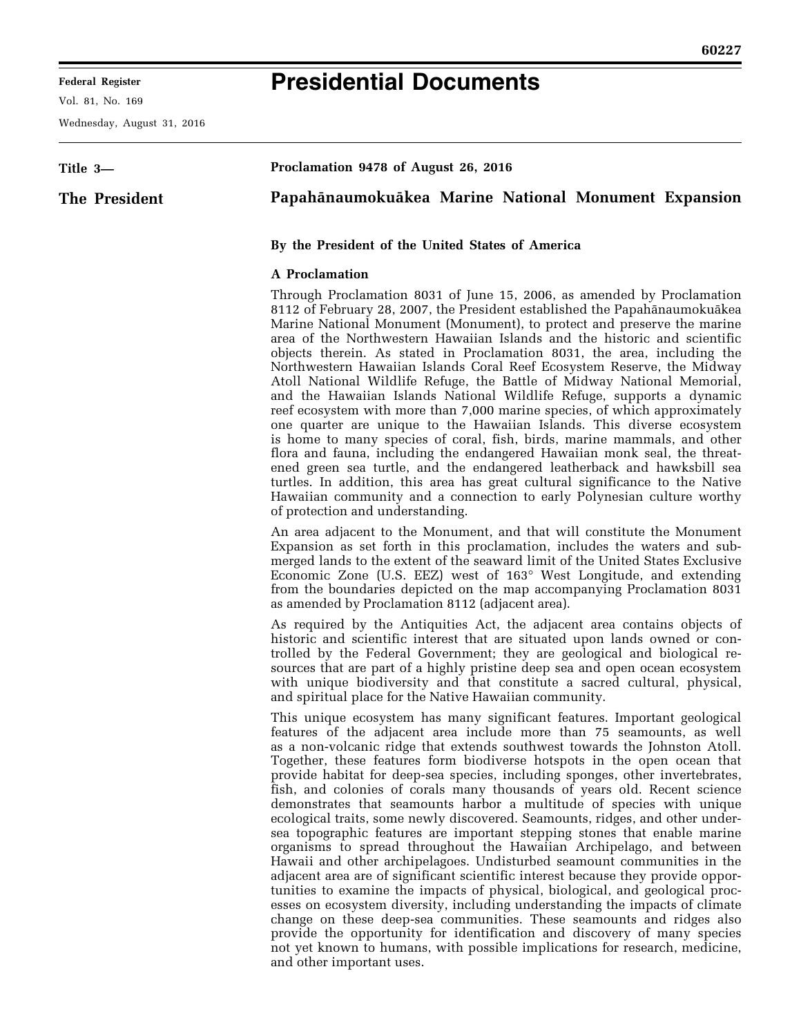# **Presidential Documents**

Vol. 81, No. 169

Wednesday, August 31, 2016

| Title 3-      | Proclamation 9478 of August 26, 2016                                                                                                                                                                                                                                                                                                                                                    |
|---------------|-----------------------------------------------------------------------------------------------------------------------------------------------------------------------------------------------------------------------------------------------------------------------------------------------------------------------------------------------------------------------------------------|
| The President | Papahānaumokuākea Marine National Monument Expansion                                                                                                                                                                                                                                                                                                                                    |
|               | By the President of the United States of America                                                                                                                                                                                                                                                                                                                                        |
|               | <b>A</b> Proclamation                                                                                                                                                                                                                                                                                                                                                                   |
|               | Through Proclamation 8031 of June 15, 2006, as amended by Proclamation<br>8112 of February 28, 2007, the President established the Papahānaumokuākea<br>Marine National Monument (Monument), to protect and preserve the marine<br>area of the Northwestern Hawaiian Islands and the historic and scientific<br>objects therein. As stated in Proclamation 8031, the area including the |

objects therein. As stated in Proclamation 8031, the area, including the Northwestern Hawaiian Islands Coral Reef Ecosystem Reserve, the Midway Atoll National Wildlife Refuge, the Battle of Midway National Memorial, and the Hawaiian Islands National Wildlife Refuge, supports a dynamic reef ecosystem with more than 7,000 marine species, of which approximately one quarter are unique to the Hawaiian Islands. This diverse ecosystem is home to many species of coral, fish, birds, marine mammals, and other flora and fauna, including the endangered Hawaiian monk seal, the threatened green sea turtle, and the endangered leatherback and hawksbill sea turtles. In addition, this area has great cultural significance to the Native Hawaiian community and a connection to early Polynesian culture worthy of protection and understanding.

An area adjacent to the Monument, and that will constitute the Monument Expansion as set forth in this proclamation, includes the waters and submerged lands to the extent of the seaward limit of the United States Exclusive Economic Zone (U.S. EEZ) west of 163° West Longitude, and extending from the boundaries depicted on the map accompanying Proclamation 8031 as amended by Proclamation 8112 (adjacent area).

As required by the Antiquities Act, the adjacent area contains objects of historic and scientific interest that are situated upon lands owned or controlled by the Federal Government; they are geological and biological resources that are part of a highly pristine deep sea and open ocean ecosystem with unique biodiversity and that constitute a sacred cultural, physical, and spiritual place for the Native Hawaiian community.

This unique ecosystem has many significant features. Important geological features of the adjacent area include more than 75 seamounts, as well as a non-volcanic ridge that extends southwest towards the Johnston Atoll. Together, these features form biodiverse hotspots in the open ocean that provide habitat for deep-sea species, including sponges, other invertebrates, fish, and colonies of corals many thousands of years old. Recent science demonstrates that seamounts harbor a multitude of species with unique ecological traits, some newly discovered. Seamounts, ridges, and other undersea topographic features are important stepping stones that enable marine organisms to spread throughout the Hawaiian Archipelago, and between Hawaii and other archipelagoes. Undisturbed seamount communities in the adjacent area are of significant scientific interest because they provide opportunities to examine the impacts of physical, biological, and geological processes on ecosystem diversity, including understanding the impacts of climate change on these deep-sea communities. These seamounts and ridges also provide the opportunity for identification and discovery of many species not yet known to humans, with possible implications for research, medicine, and other important uses.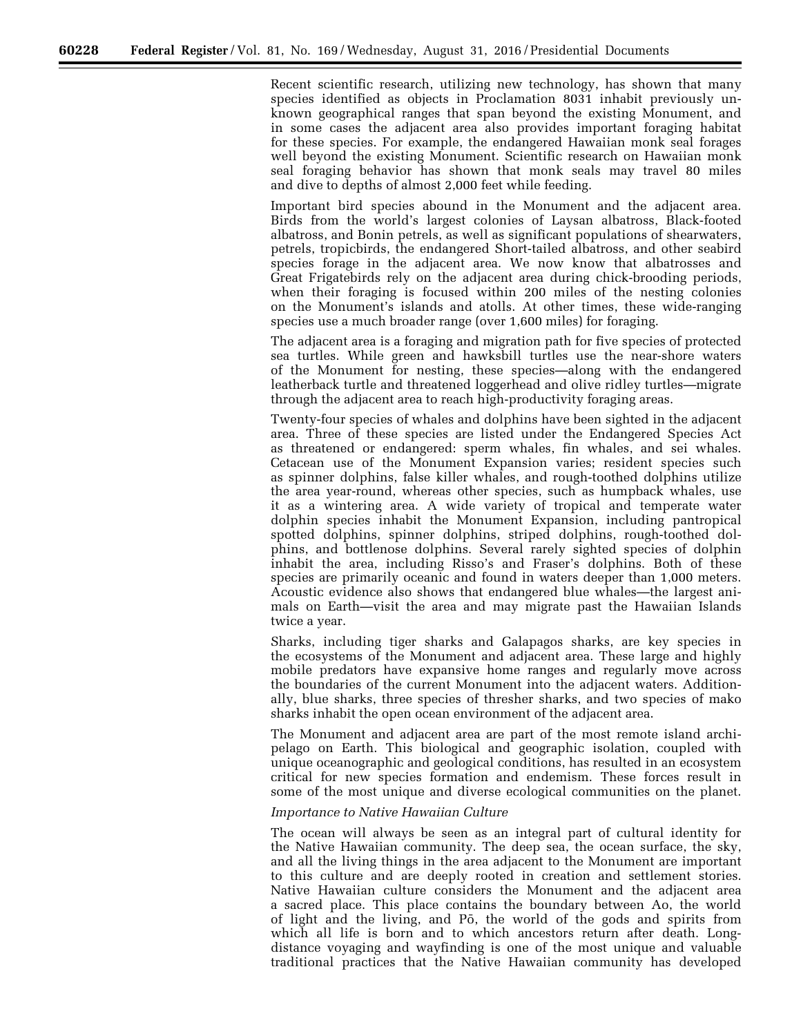Recent scientific research, utilizing new technology, has shown that many species identified as objects in Proclamation 8031 inhabit previously unknown geographical ranges that span beyond the existing Monument, and in some cases the adjacent area also provides important foraging habitat for these species. For example, the endangered Hawaiian monk seal forages well beyond the existing Monument. Scientific research on Hawaiian monk seal foraging behavior has shown that monk seals may travel 80 miles and dive to depths of almost 2,000 feet while feeding.

Important bird species abound in the Monument and the adjacent area. Birds from the world's largest colonies of Laysan albatross, Black-footed albatross, and Bonin petrels, as well as significant populations of shearwaters, petrels, tropicbirds, the endangered Short-tailed albatross, and other seabird species forage in the adjacent area. We now know that albatrosses and Great Frigatebirds rely on the adjacent area during chick-brooding periods, when their foraging is focused within 200 miles of the nesting colonies on the Monument's islands and atolls. At other times, these wide-ranging species use a much broader range (over 1,600 miles) for foraging.

The adjacent area is a foraging and migration path for five species of protected sea turtles. While green and hawksbill turtles use the near-shore waters of the Monument for nesting, these species—along with the endangered leatherback turtle and threatened loggerhead and olive ridley turtles—migrate through the adjacent area to reach high-productivity foraging areas.

Twenty-four species of whales and dolphins have been sighted in the adjacent area. Three of these species are listed under the Endangered Species Act as threatened or endangered: sperm whales, fin whales, and sei whales. Cetacean use of the Monument Expansion varies; resident species such as spinner dolphins, false killer whales, and rough-toothed dolphins utilize the area year-round, whereas other species, such as humpback whales, use it as a wintering area. A wide variety of tropical and temperate water dolphin species inhabit the Monument Expansion, including pantropical spotted dolphins, spinner dolphins, striped dolphins, rough-toothed dolphins, and bottlenose dolphins. Several rarely sighted species of dolphin inhabit the area, including Risso's and Fraser's dolphins. Both of these species are primarily oceanic and found in waters deeper than 1,000 meters. Acoustic evidence also shows that endangered blue whales—the largest animals on Earth—visit the area and may migrate past the Hawaiian Islands twice a year.

Sharks, including tiger sharks and Galapagos sharks, are key species in the ecosystems of the Monument and adjacent area. These large and highly mobile predators have expansive home ranges and regularly move across the boundaries of the current Monument into the adjacent waters. Additionally, blue sharks, three species of thresher sharks, and two species of mako sharks inhabit the open ocean environment of the adjacent area.

The Monument and adjacent area are part of the most remote island archipelago on Earth. This biological and geographic isolation, coupled with unique oceanographic and geological conditions, has resulted in an ecosystem critical for new species formation and endemism. These forces result in some of the most unique and diverse ecological communities on the planet.

## *Importance to Native Hawaiian Culture*

The ocean will always be seen as an integral part of cultural identity for the Native Hawaiian community. The deep sea, the ocean surface, the sky, and all the living things in the area adjacent to the Monument are important to this culture and are deeply rooted in creation and settlement stories. Native Hawaiian culture considers the Monument and the adjacent area a sacred place. This place contains the boundary between Ao, the world of light and the living, and Pō, the world of the gods and spirits from which all life is born and to which ancestors return after death. Longdistance voyaging and wayfinding is one of the most unique and valuable traditional practices that the Native Hawaiian community has developed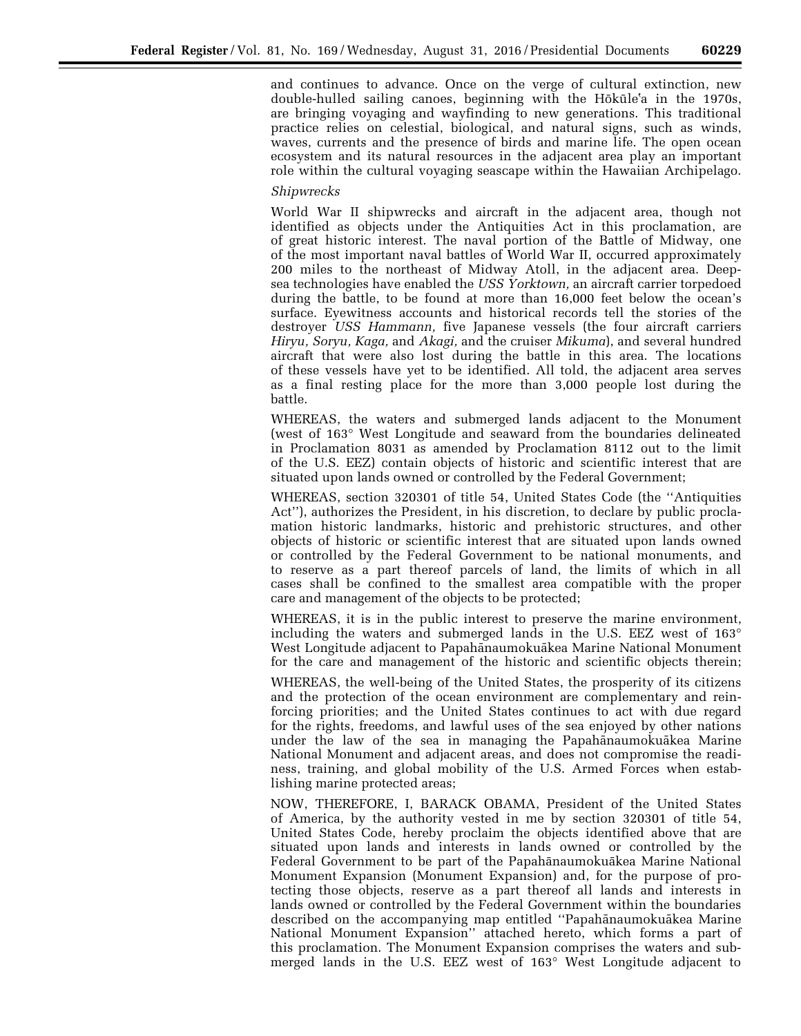and continues to advance. Once on the verge of cultural extinction, new double-hulled sailing canoes, beginning with the Hōkūle<sup>t</sup>a in the 1970s, are bringing voyaging and wayfinding to new generations. This traditional practice relies on celestial, biological, and natural signs, such as winds, waves, currents and the presence of birds and marine life. The open ocean ecosystem and its natural resources in the adjacent area play an important role within the cultural voyaging seascape within the Hawaiian Archipelago.

## *Shipwrecks*

World War II shipwrecks and aircraft in the adjacent area, though not identified as objects under the Antiquities Act in this proclamation, are of great historic interest. The naval portion of the Battle of Midway, one of the most important naval battles of World War II, occurred approximately 200 miles to the northeast of Midway Atoll, in the adjacent area. Deepsea technologies have enabled the *USS Yorktown,* an aircraft carrier torpedoed during the battle, to be found at more than 16,000 feet below the ocean's surface. Eyewitness accounts and historical records tell the stories of the destroyer *USS Hammann,* five Japanese vessels (the four aircraft carriers *Hiryu, Soryu, Kaga,* and *Akagi,* and the cruiser *Mikuma*), and several hundred aircraft that were also lost during the battle in this area. The locations of these vessels have yet to be identified. All told, the adjacent area serves as a final resting place for the more than 3,000 people lost during the battle.

WHEREAS, the waters and submerged lands adjacent to the Monument (west of 163° West Longitude and seaward from the boundaries delineated in Proclamation 8031 as amended by Proclamation 8112 out to the limit of the U.S. EEZ) contain objects of historic and scientific interest that are situated upon lands owned or controlled by the Federal Government;

WHEREAS, section 320301 of title 54, United States Code (the ''Antiquities Act''), authorizes the President, in his discretion, to declare by public proclamation historic landmarks, historic and prehistoric structures, and other objects of historic or scientific interest that are situated upon lands owned or controlled by the Federal Government to be national monuments, and to reserve as a part thereof parcels of land, the limits of which in all cases shall be confined to the smallest area compatible with the proper care and management of the objects to be protected;

WHEREAS, it is in the public interest to preserve the marine environment, including the waters and submerged lands in the U.S. EEZ west of 163° West Longitude adjacent to Papahānaumokuākea Marine National Monument for the care and management of the historic and scientific objects therein;

WHEREAS, the well-being of the United States, the prosperity of its citizens and the protection of the ocean environment are complementary and reinforcing priorities; and the United States continues to act with due regard for the rights, freedoms, and lawful uses of the sea enjoyed by other nations under the law of the sea in managing the Papahānaumokuākea Marine National Monument and adjacent areas, and does not compromise the readiness, training, and global mobility of the U.S. Armed Forces when establishing marine protected areas;

NOW, THEREFORE, I, BARACK OBAMA, President of the United States of America, by the authority vested in me by section 320301 of title 54, United States Code, hereby proclaim the objects identified above that are situated upon lands and interests in lands owned or controlled by the Federal Government to be part of the Papahānaumokuākea Marine National Monument Expansion (Monument Expansion) and, for the purpose of protecting those objects, reserve as a part thereof all lands and interests in lands owned or controlled by the Federal Government within the boundaries described on the accompanying map entitled "Papahānaumokuākea Marine National Monument Expansion'' attached hereto, which forms a part of this proclamation. The Monument Expansion comprises the waters and submerged lands in the U.S. EEZ west of 163° West Longitude adjacent to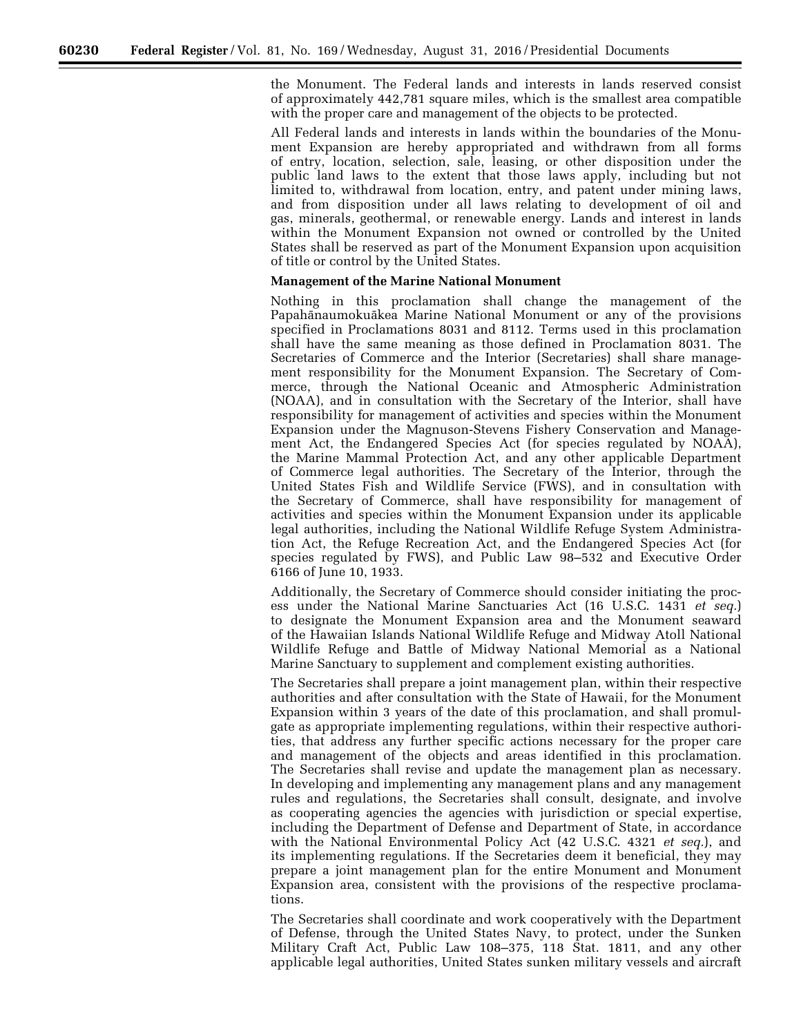the Monument. The Federal lands and interests in lands reserved consist of approximately 442,781 square miles, which is the smallest area compatible with the proper care and management of the objects to be protected.

All Federal lands and interests in lands within the boundaries of the Monument Expansion are hereby appropriated and withdrawn from all forms of entry, location, selection, sale, leasing, or other disposition under the public land laws to the extent that those laws apply, including but not limited to, withdrawal from location, entry, and patent under mining laws, and from disposition under all laws relating to development of oil and gas, minerals, geothermal, or renewable energy. Lands and interest in lands within the Monument Expansion not owned or controlled by the United States shall be reserved as part of the Monument Expansion upon acquisition of title or control by the United States.

#### **Management of the Marine National Monument**

Nothing in this proclamation shall change the management of the Papahanaumokuakea Marine National Monument or any of the provisions specified in Proclamations 8031 and 8112. Terms used in this proclamation shall have the same meaning as those defined in Proclamation 8031. The Secretaries of Commerce and the Interior (Secretaries) shall share management responsibility for the Monument Expansion. The Secretary of Commerce, through the National Oceanic and Atmospheric Administration (NOAA), and in consultation with the Secretary of the Interior, shall have responsibility for management of activities and species within the Monument Expansion under the Magnuson-Stevens Fishery Conservation and Management Act, the Endangered Species Act (for species regulated by NOAA), the Marine Mammal Protection Act, and any other applicable Department of Commerce legal authorities. The Secretary of the Interior, through the United States Fish and Wildlife Service (FWS), and in consultation with the Secretary of Commerce, shall have responsibility for management of activities and species within the Monument Expansion under its applicable legal authorities, including the National Wildlife Refuge System Administration Act, the Refuge Recreation Act, and the Endangered Species Act (for species regulated by FWS), and Public Law 98–532 and Executive Order 6166 of June 10, 1933.

Additionally, the Secretary of Commerce should consider initiating the process under the National Marine Sanctuaries Act (16 U.S.C. 1431 *et seq.*) to designate the Monument Expansion area and the Monument seaward of the Hawaiian Islands National Wildlife Refuge and Midway Atoll National Wildlife Refuge and Battle of Midway National Memorial as a National Marine Sanctuary to supplement and complement existing authorities.

The Secretaries shall prepare a joint management plan, within their respective authorities and after consultation with the State of Hawaii, for the Monument Expansion within 3 years of the date of this proclamation, and shall promulgate as appropriate implementing regulations, within their respective authorities, that address any further specific actions necessary for the proper care and management of the objects and areas identified in this proclamation. The Secretaries shall revise and update the management plan as necessary. In developing and implementing any management plans and any management rules and regulations, the Secretaries shall consult, designate, and involve as cooperating agencies the agencies with jurisdiction or special expertise, including the Department of Defense and Department of State, in accordance with the National Environmental Policy Act (42 U.S.C. 4321 *et seq.*), and its implementing regulations. If the Secretaries deem it beneficial, they may prepare a joint management plan for the entire Monument and Monument Expansion area, consistent with the provisions of the respective proclamations.

The Secretaries shall coordinate and work cooperatively with the Department of Defense, through the United States Navy, to protect, under the Sunken Military Craft Act, Public Law 108–375, 118 Stat. 1811, and any other applicable legal authorities, United States sunken military vessels and aircraft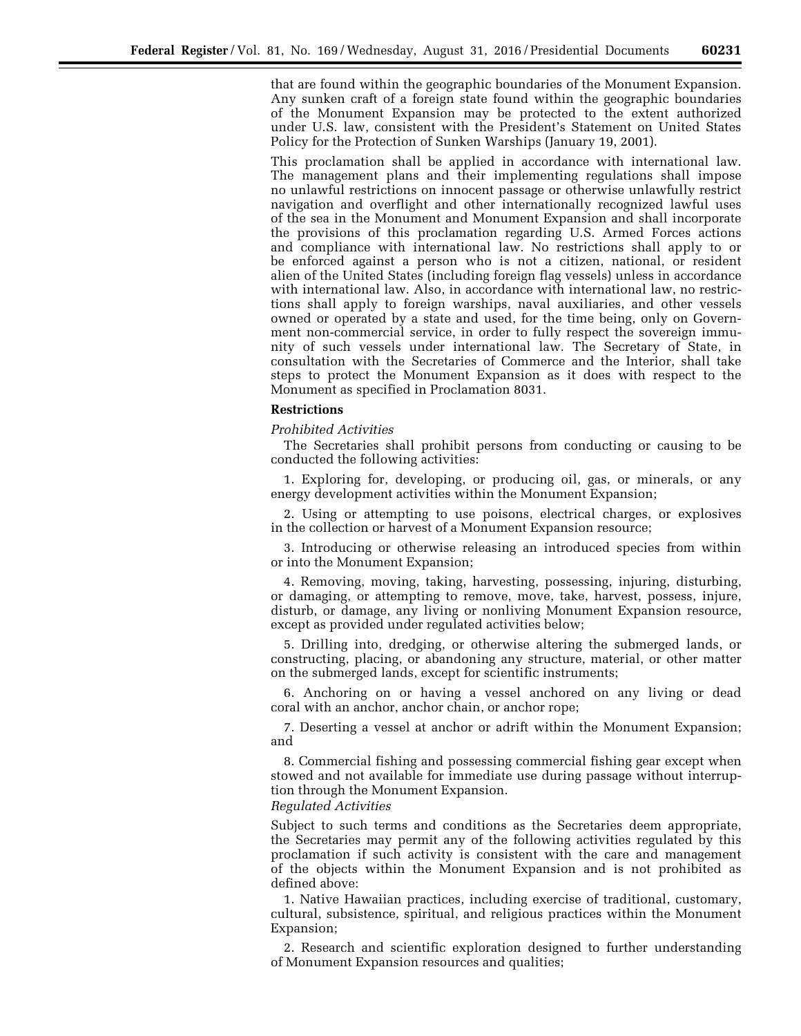that are found within the geographic boundaries of the Monument Expansion. Any sunken craft of a foreign state found within the geographic boundaries of the Monument Expansion may be protected to the extent authorized under U.S. law, consistent with the President's Statement on United States Policy for the Protection of Sunken Warships (January 19, 2001).

This proclamation shall be applied in accordance with international law. The management plans and their implementing regulations shall impose no unlawful restrictions on innocent passage or otherwise unlawfully restrict navigation and overflight and other internationally recognized lawful uses of the sea in the Monument and Monument Expansion and shall incorporate the provisions of this proclamation regarding U.S. Armed Forces actions and compliance with international law. No restrictions shall apply to or be enforced against a person who is not a citizen, national, or resident alien of the United States (including foreign flag vessels) unless in accordance with international law. Also, in accordance with international law, no restrictions shall apply to foreign warships, naval auxiliaries, and other vessels owned or operated by a state and used, for the time being, only on Government non-commercial service, in order to fully respect the sovereign immunity of such vessels under international law. The Secretary of State, in consultation with the Secretaries of Commerce and the Interior, shall take steps to protect the Monument Expansion as it does with respect to the Monument as specified in Proclamation 8031.

## **Restrictions**

*Prohibited Activities* 

The Secretaries shall prohibit persons from conducting or causing to be conducted the following activities:

1. Exploring for, developing, or producing oil, gas, or minerals, or any energy development activities within the Monument Expansion;

2. Using or attempting to use poisons, electrical charges, or explosives in the collection or harvest of a Monument Expansion resource;

3. Introducing or otherwise releasing an introduced species from within or into the Monument Expansion;

4. Removing, moving, taking, harvesting, possessing, injuring, disturbing, or damaging, or attempting to remove, move, take, harvest, possess, injure, disturb, or damage, any living or nonliving Monument Expansion resource, except as provided under regulated activities below;

5. Drilling into, dredging, or otherwise altering the submerged lands, or constructing, placing, or abandoning any structure, material, or other matter on the submerged lands, except for scientific instruments;

6. Anchoring on or having a vessel anchored on any living or dead coral with an anchor, anchor chain, or anchor rope;

7. Deserting a vessel at anchor or adrift within the Monument Expansion; and

8. Commercial fishing and possessing commercial fishing gear except when stowed and not available for immediate use during passage without interruption through the Monument Expansion.

# *Regulated Activities*

Subject to such terms and conditions as the Secretaries deem appropriate, the Secretaries may permit any of the following activities regulated by this proclamation if such activity is consistent with the care and management of the objects within the Monument Expansion and is not prohibited as defined above:

1. Native Hawaiian practices, including exercise of traditional, customary, cultural, subsistence, spiritual, and religious practices within the Monument Expansion;

2. Research and scientific exploration designed to further understanding of Monument Expansion resources and qualities;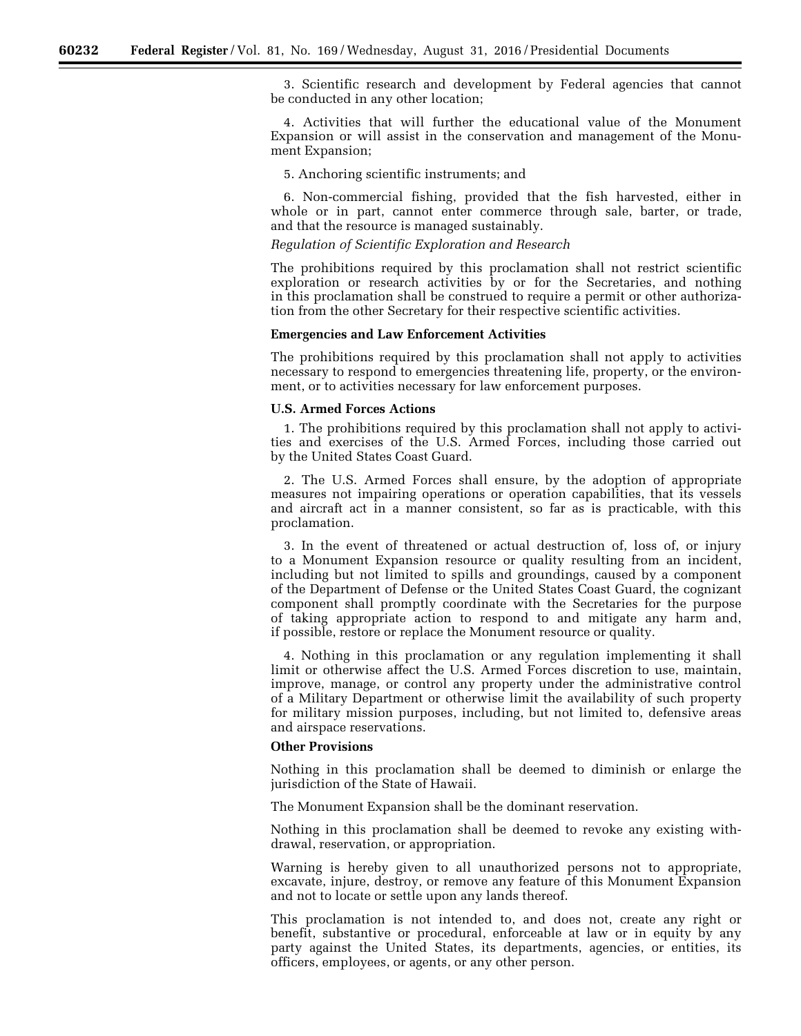3. Scientific research and development by Federal agencies that cannot be conducted in any other location;

4. Activities that will further the educational value of the Monument Expansion or will assist in the conservation and management of the Monument Expansion;

5. Anchoring scientific instruments; and

6. Non-commercial fishing, provided that the fish harvested, either in whole or in part, cannot enter commerce through sale, barter, or trade, and that the resource is managed sustainably.

*Regulation of Scientific Exploration and Research* 

The prohibitions required by this proclamation shall not restrict scientific exploration or research activities by or for the Secretaries, and nothing in this proclamation shall be construed to require a permit or other authorization from the other Secretary for their respective scientific activities.

#### **Emergencies and Law Enforcement Activities**

The prohibitions required by this proclamation shall not apply to activities necessary to respond to emergencies threatening life, property, or the environment, or to activities necessary for law enforcement purposes.

#### **U.S. Armed Forces Actions**

1. The prohibitions required by this proclamation shall not apply to activities and exercises of the U.S. Armed Forces, including those carried out by the United States Coast Guard.

2. The U.S. Armed Forces shall ensure, by the adoption of appropriate measures not impairing operations or operation capabilities, that its vessels and aircraft act in a manner consistent, so far as is practicable, with this proclamation.

3. In the event of threatened or actual destruction of, loss of, or injury to a Monument Expansion resource or quality resulting from an incident, including but not limited to spills and groundings, caused by a component of the Department of Defense or the United States Coast Guard, the cognizant component shall promptly coordinate with the Secretaries for the purpose of taking appropriate action to respond to and mitigate any harm and, if possible, restore or replace the Monument resource or quality.

4. Nothing in this proclamation or any regulation implementing it shall limit or otherwise affect the U.S. Armed Forces discretion to use, maintain, improve, manage, or control any property under the administrative control of a Military Department or otherwise limit the availability of such property for military mission purposes, including, but not limited to, defensive areas and airspace reservations.

## **Other Provisions**

Nothing in this proclamation shall be deemed to diminish or enlarge the jurisdiction of the State of Hawaii.

The Monument Expansion shall be the dominant reservation.

Nothing in this proclamation shall be deemed to revoke any existing withdrawal, reservation, or appropriation.

Warning is hereby given to all unauthorized persons not to appropriate, excavate, injure, destroy, or remove any feature of this Monument Expansion and not to locate or settle upon any lands thereof.

This proclamation is not intended to, and does not, create any right or benefit, substantive or procedural, enforceable at law or in equity by any party against the United States, its departments, agencies, or entities, its officers, employees, or agents, or any other person.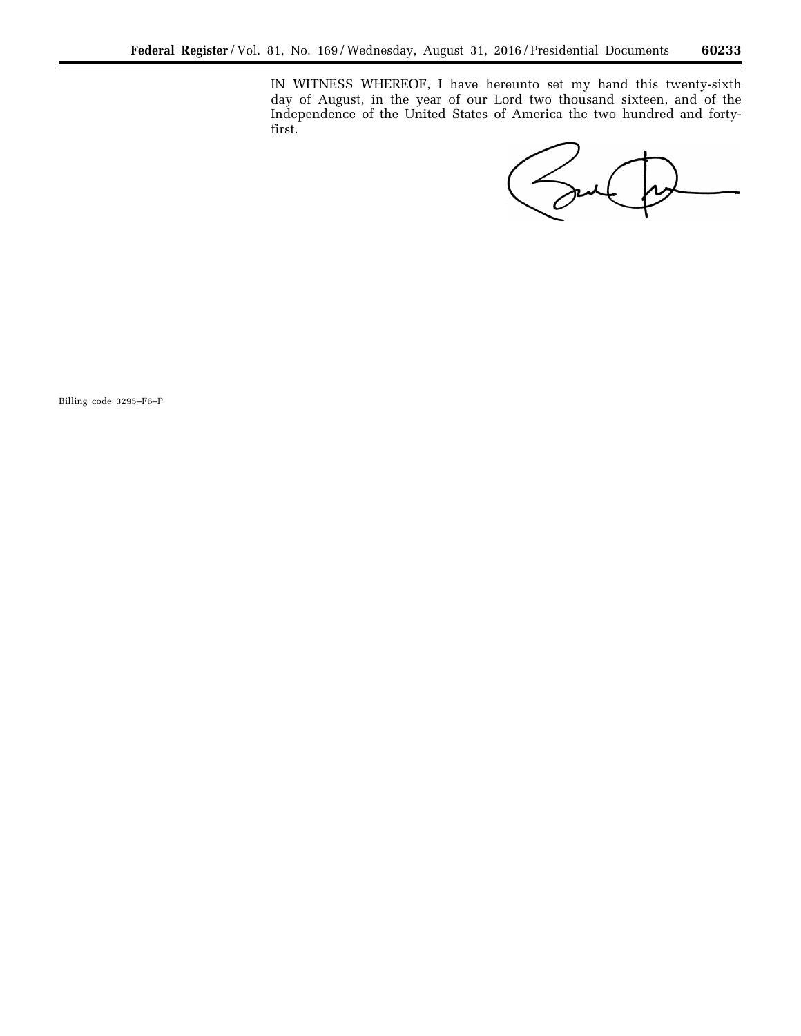IN WITNESS WHEREOF, I have hereunto set my hand this twenty-sixth day of August, in the year of our Lord two thousand sixteen, and of the Independence of the United States of America the two hundred and fortyfirst.

Sul

 $\equiv$ 

Billing code 3295–F6–P